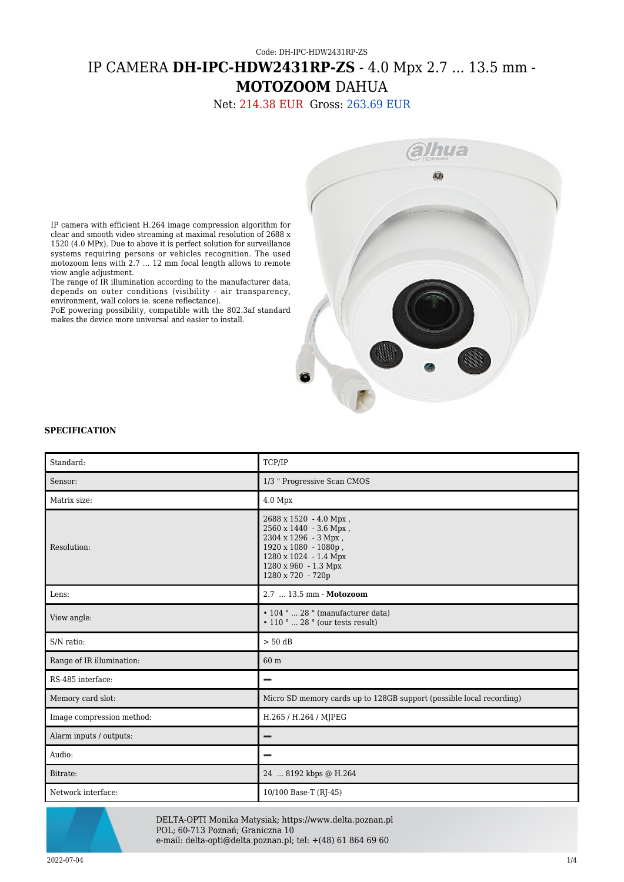## Code: DH-IPC-HDW2431RP-ZS IP CAMERA **DH-IPC-HDW2431RP-ZS** - 4.0 Mpx 2.7 ... 13.5 mm - **MOTOZOOM** DAHUA

Net: 214.38 EUR Gross: 263.69 EUR



IP camera with efficient H.264 image compression algorithm for clear and smooth video streaming at maximal resolution of 2688 x 1520 (4.0 MPx). Due to above it is perfect solution for surveillance systems requiring persons or vehicles recognition. The used motozoom lens with 2.7 ... 12 mm focal length allows to remote view angle adjustment.

The range of IR illumination according to the manufacturer data, depends on outer conditions (visibility - air transparency, environment, wall colors ie. scene reflectance).

PoE powering possibility, compatible with the 802.3af standard makes the device more universal and easier to install.

## **SPECIFICATION**

| Standard:                 | <b>TCP/IP</b>                                                                                                                                                          |
|---------------------------|------------------------------------------------------------------------------------------------------------------------------------------------------------------------|
| Sensor:                   | 1/3 " Progressive Scan CMOS                                                                                                                                            |
| Matrix size:              | 4.0 Mpx                                                                                                                                                                |
| Resolution:               | 2688 x 1520 - 4.0 Mpx,<br>2560 x 1440 - 3.6 Mpx,<br>2304 x 1296 - 3 Mpx,<br>1920 x 1080 - 1080p,<br>1280 x 1024 - 1.4 Mpx<br>1280 x 960 - 1.3 Mpx<br>1280 x 720 - 720p |
| Lens:                     | 2.7  13.5 mm - Motozoom                                                                                                                                                |
| View angle:               | • 104 °  28 ° (manufacturer data)<br>$\bullet$ 110 $^{\circ}$ 28 $^{\circ}$ (our tests result)                                                                         |
| S/N ratio:                | $> 50$ dB                                                                                                                                                              |
| Range of IR illumination: | 60 m                                                                                                                                                                   |
| RS-485 interface:         |                                                                                                                                                                        |
| Memory card slot:         | Micro SD memory cards up to 128GB support (possible local recording)                                                                                                   |
| Image compression method: | H.265 / H.264 / MJPEG                                                                                                                                                  |
| Alarm inputs / outputs:   |                                                                                                                                                                        |
| Audio:                    |                                                                                                                                                                        |
| Bitrate:                  | 24  8192 kbps @ H.264                                                                                                                                                  |
| Network interface:        | 10/100 Base-T (RJ-45)                                                                                                                                                  |



DELTA-OPTI Monika Matysiak; https://www.delta.poznan.pl POL; 60-713 Poznań; Graniczna 10 e-mail: delta-opti@delta.poznan.pl; tel: +(48) 61 864 69 60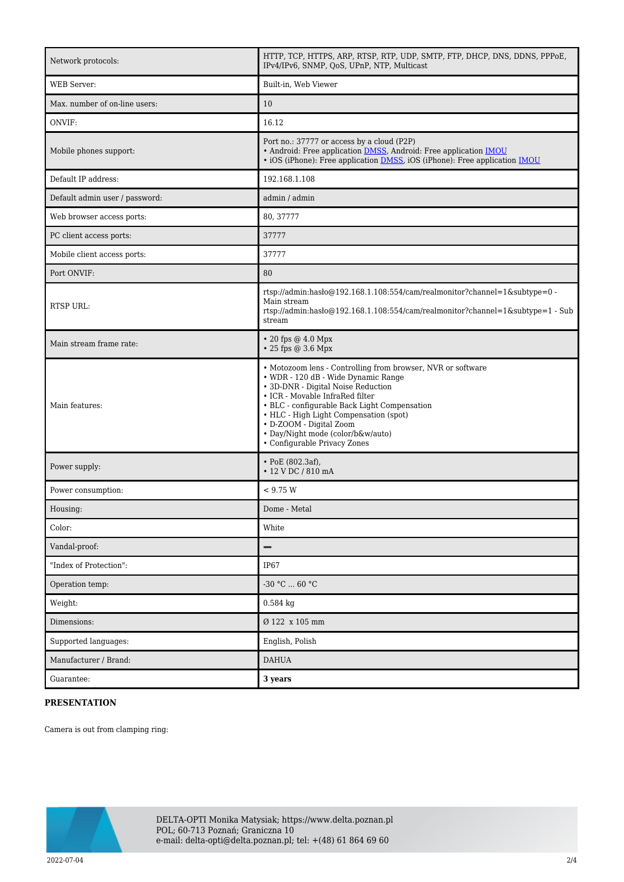| Network protocols:             | HTTP, TCP, HTTPS, ARP, RTSP, RTP, UDP, SMTP, FTP, DHCP, DNS, DDNS, PPPoE,<br>IPv4/IPv6, SNMP, QoS, UPnP, NTP, Multicast                                                                                                                                                                                                                                               |
|--------------------------------|-----------------------------------------------------------------------------------------------------------------------------------------------------------------------------------------------------------------------------------------------------------------------------------------------------------------------------------------------------------------------|
| <b>WEB</b> Server:             | Built-in, Web Viewer                                                                                                                                                                                                                                                                                                                                                  |
| Max. number of on-line users:  | 10                                                                                                                                                                                                                                                                                                                                                                    |
| ONVIF:                         | 16.12                                                                                                                                                                                                                                                                                                                                                                 |
| Mobile phones support:         | Port no.: 37777 or access by a cloud (P2P)<br>• Android: Free application DMSS, Android: Free application IMOU<br>· iOS (iPhone): Free application <b>DMSS</b> , iOS (iPhone): Free application <b>IMOU</b>                                                                                                                                                           |
| Default IP address:            | 192.168.1.108                                                                                                                                                                                                                                                                                                                                                         |
| Default admin user / password: | admin / admin                                                                                                                                                                                                                                                                                                                                                         |
| Web browser access ports:      | 80, 37777                                                                                                                                                                                                                                                                                                                                                             |
| PC client access ports:        | 37777                                                                                                                                                                                                                                                                                                                                                                 |
| Mobile client access ports:    | 37777                                                                                                                                                                                                                                                                                                                                                                 |
| Port ONVIF:                    | 80                                                                                                                                                                                                                                                                                                                                                                    |
| RTSP URL:                      | rtsp://admin:hasło@192.168.1.108:554/cam/realmonitor?channel=1&subtype=0 -<br>Main stream<br>rtsp://admin.hasho@192.168.1.108:554/cam/realmonitor?channel=1&subtype=1 - Sub<br>stream                                                                                                                                                                                 |
| Main stream frame rate:        | $\cdot$ 20 fps @ 4.0 Mpx<br>• 25 fps @ 3.6 Mpx                                                                                                                                                                                                                                                                                                                        |
| Main features:                 | • Motozoom lens - Controlling from browser, NVR or software<br>• WDR - 120 dB - Wide Dynamic Range<br>• 3D-DNR - Digital Noise Reduction<br>• ICR - Movable InfraRed filter<br>• BLC - configurable Back Light Compensation<br>• HLC - High Light Compensation (spot)<br>• D-ZOOM - Digital Zoom<br>· Day/Night mode (color/b&w/auto)<br>• Configurable Privacy Zones |
| Power supply:                  | $\cdot$ PoE (802.3af),<br>• 12 V DC / 810 mA                                                                                                                                                                                                                                                                                                                          |
| Power consumption:             | < 9.75 W                                                                                                                                                                                                                                                                                                                                                              |
| Housing:                       | Dome - Metal                                                                                                                                                                                                                                                                                                                                                          |
| Color:                         | White                                                                                                                                                                                                                                                                                                                                                                 |
| Vandal-proof:                  | -                                                                                                                                                                                                                                                                                                                                                                     |
| "Index of Protection":         | <b>IP67</b>                                                                                                                                                                                                                                                                                                                                                           |
| Operation temp:                | -30 °C  60 °C                                                                                                                                                                                                                                                                                                                                                         |
| Weight:                        | $0.584$ kg                                                                                                                                                                                                                                                                                                                                                            |
| Dimensions:                    | Ø 122 x 105 mm                                                                                                                                                                                                                                                                                                                                                        |
| Supported languages:           | English, Polish                                                                                                                                                                                                                                                                                                                                                       |
| Manufacturer / Brand:          | <b>DAHUA</b>                                                                                                                                                                                                                                                                                                                                                          |
| Guarantee:                     | 3 years                                                                                                                                                                                                                                                                                                                                                               |

## **PRESENTATION**

Camera is out from clamping ring:

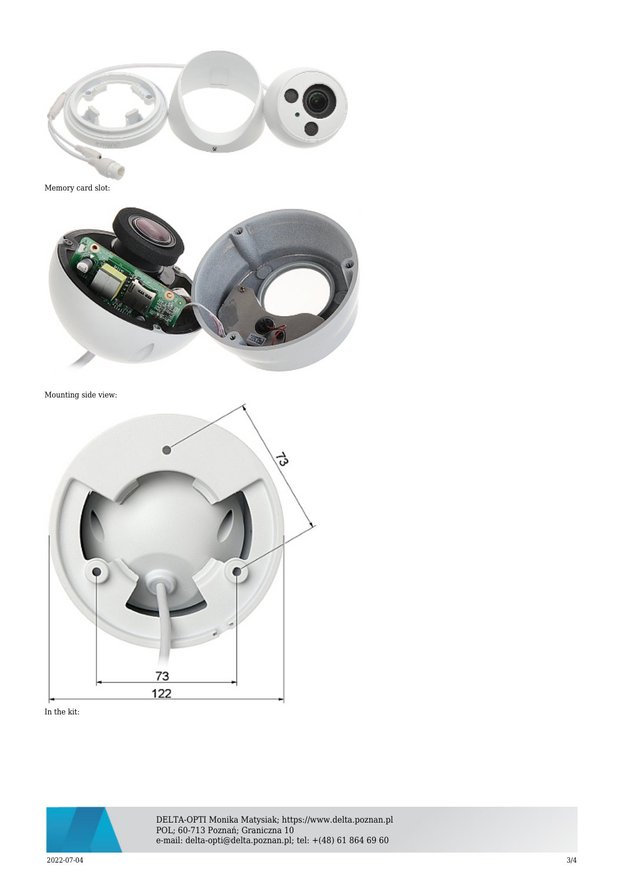

Memory card slot:



Mounting side view:



In the kit:



DELTA-OPTI Monika Matysiak; https://www.delta.poznan.pl POL; 60-713 Poznań; Graniczna 10 e-mail: delta-opti@delta.poznan.pl; tel: +(48) 61 864 69 60

2022-07-04 3/4